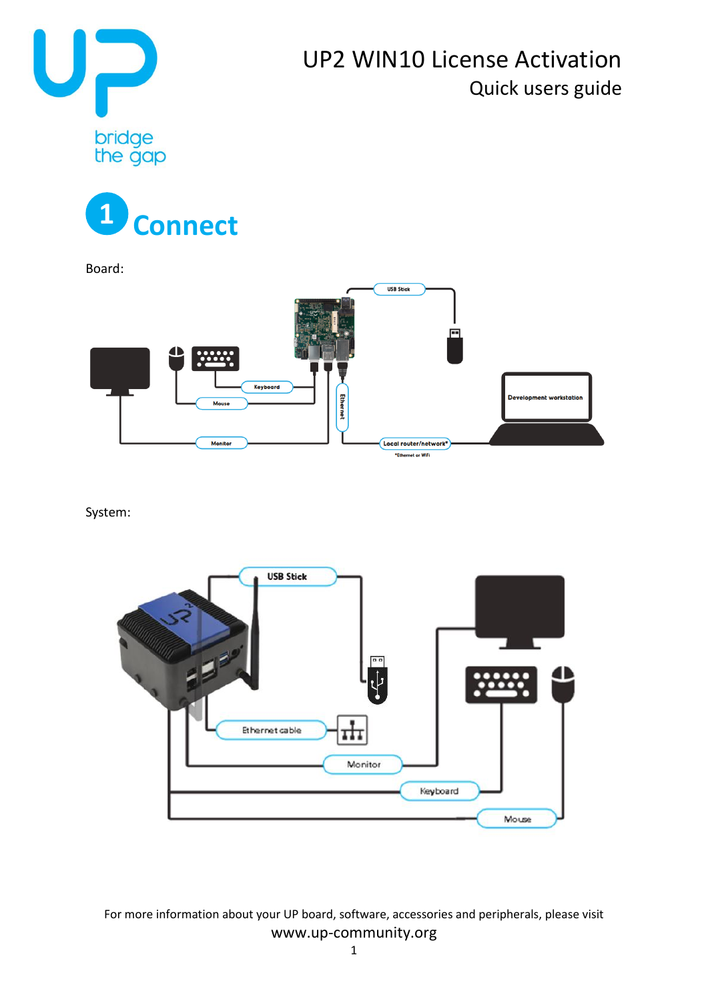





Board:



System:

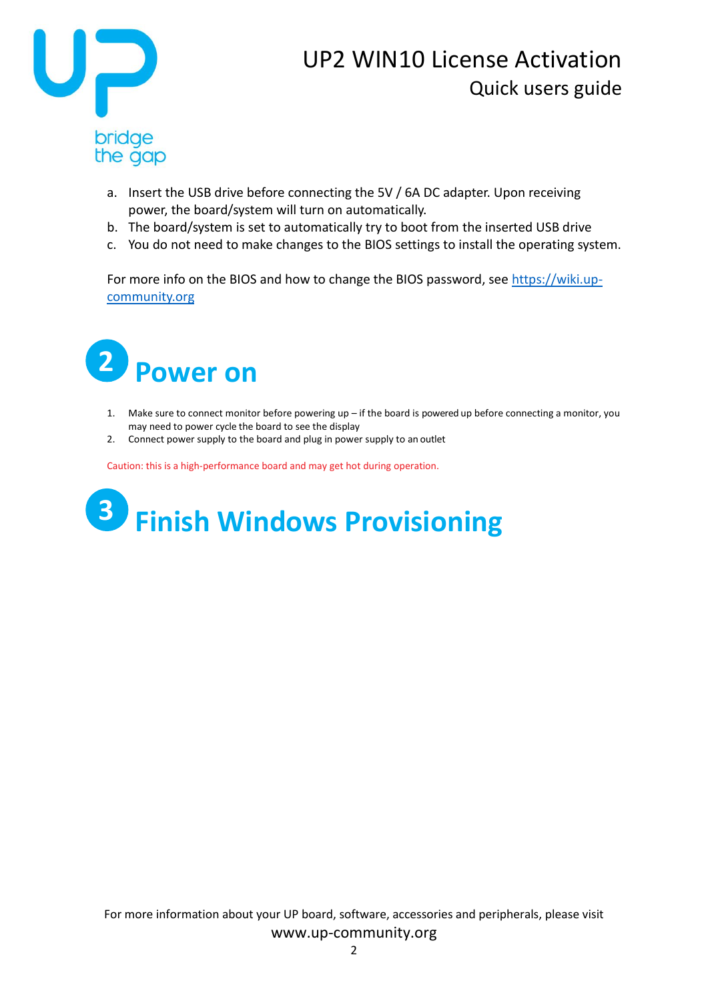

## UP2 WIN10 License Activation Quick users guide

- a. Insert the USB drive before connecting the 5V / 6A DC adapter. Upon receiving power, the board/system will turn on automatically.
- b. The board/system is set to automatically try to boot from the inserted USB drive
- c. You do not need to make changes to the BIOS settings to install the operating system.

For more info on the BIOS and how to change the BIOS password, see [https://wiki.up](https://wiki.up-community.org/)[community.org](https://wiki.up-community.org/)



- 1. Make sure to connect monitor before powering up if the board is powered up before connecting a monitor, you may need to power cycle the board to see the display
- 2. Connect power supply to the board and plug in power supply to an outlet

Caution: this is a high-performance board and may get hot during operation.

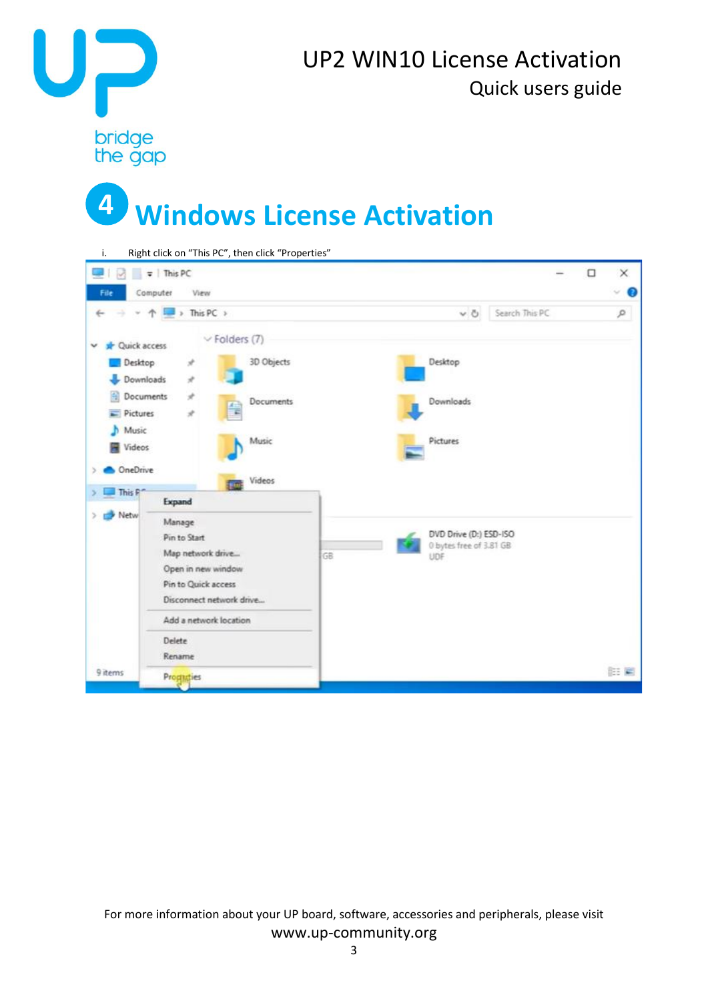

## UP2 WIN10 License Activation Quick users guide

## **Windows License Activation 4**

| i.                                                                        | Right click on "This PC", then click "Properties"                                                                    |                    |    |                 |                                                   |                |   |           |
|---------------------------------------------------------------------------|----------------------------------------------------------------------------------------------------------------------|--------------------|----|-----------------|---------------------------------------------------|----------------|---|-----------|
| المنا<br>$\sim$                                                           | $\frac{1}{2}$ This PC                                                                                                |                    |    |                 |                                                   |                | α | ×         |
| File                                                                      | Computer<br>View                                                                                                     |                    |    |                 |                                                   |                |   | ∞ ๏       |
|                                                                           | > This PC >                                                                                                          |                    |    |                 | $\vee$ 0                                          | Search This PC |   | $\varphi$ |
| <b>Quick access</b><br>$\checkmark$                                       |                                                                                                                      | $\vee$ Folders (7) |    |                 |                                                   |                |   |           |
| Desktop                                                                   | À<br>$\mathcal{R}$                                                                                                   | 3D Objects         |    | Desktop         |                                                   |                |   |           |
| Downloads<br>Documents<br>$\mathcal{A}$<br>Documents<br>$=$ Pictures<br>À |                                                                                                                      |                    |    | Downloads       |                                                   |                |   |           |
| Music<br>ħ<br>Videos                                                      |                                                                                                                      | Music              |    | <b>Pictures</b> |                                                   |                |   |           |
| OneDrive<br>This R <sup>-1</sup>                                          | Expand                                                                                                               | Videos             |    |                 |                                                   |                |   |           |
| Netw                                                                      | Manage<br>Pin to Start<br>Map network drive<br>Open in new window<br>Pin to Quick access<br>Disconnect network drive |                    | GB | UDF             | DVD Drive (D:) ESD-ISO<br>0 bytes free of 3.81 GB |                |   |           |
|                                                                           | Add a network location                                                                                               |                    |    |                 |                                                   |                |   |           |
|                                                                           | Delete<br>Rename                                                                                                     |                    |    |                 |                                                   |                |   |           |
| 9 items                                                                   | Prograties                                                                                                           |                    |    |                 |                                                   |                |   | 旧篇        |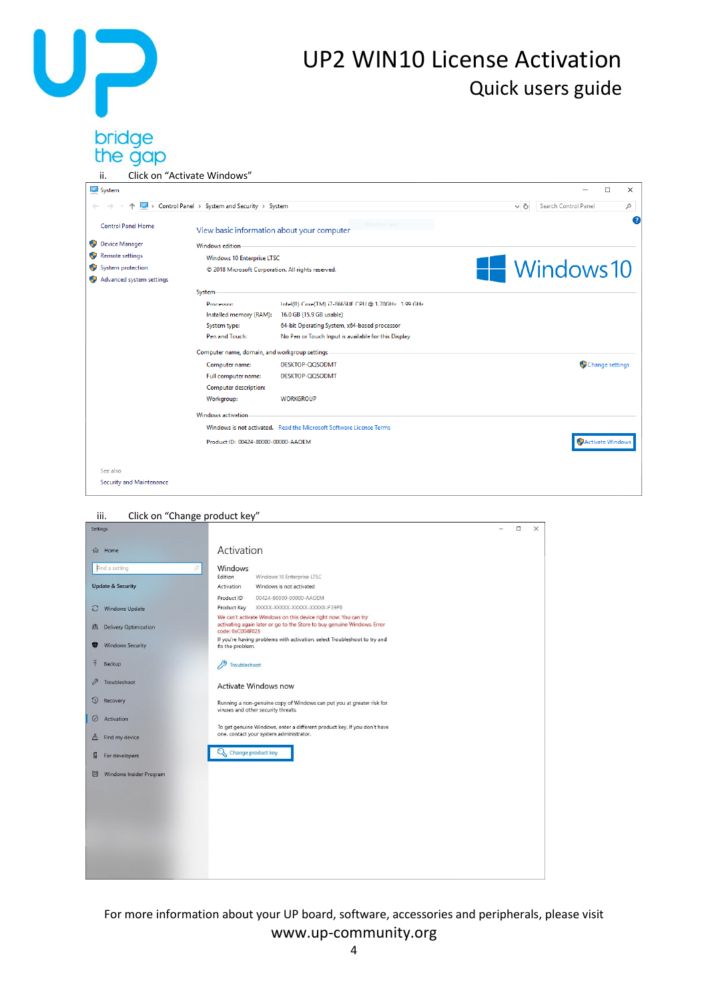# UP

## UP2 WIN10 License Activation Quick users guide

# bridge<br>the gap

| ii.                                          | Click on "Activate Windows"                        |                                                                     |                  |                      |             |
|----------------------------------------------|----------------------------------------------------|---------------------------------------------------------------------|------------------|----------------------|-------------|
| System                                       |                                                    |                                                                     |                  |                      | $\Box$<br>X |
| Control Panel > System and Security > System |                                                    |                                                                     | V Õ              | Search Control Panel | ٩           |
| <b>Control Panel Home</b>                    | View basic information about your computer         | Window Snip                                                         |                  |                      | 2           |
| Device Manager                               | Windows edition                                    |                                                                     |                  |                      |             |
| Remote settings                              | Windows 10 Enterprise LTSC                         |                                                                     |                  |                      |             |
| System protection                            | © 2018 Microsoft Corporation. All rights reserved. |                                                                     |                  | <b>Windows10</b>     |             |
| Advanced system settings                     |                                                    |                                                                     |                  |                      |             |
|                                              | System                                             |                                                                     |                  |                      |             |
|                                              | Processor:                                         | Intel(R) Core(TM) i7-8665UE CPU @ 1.70GHz 1.99 GHz                  |                  |                      |             |
|                                              | Installed memory (RAM):                            | 16.0 GB (15.9 GB usable)                                            |                  |                      |             |
|                                              | System type:                                       | 64-bit Operating System, x64-based processor                        |                  |                      |             |
|                                              | Pen and Touch:                                     | No Pen or Touch Input is available for this Display                 |                  |                      |             |
|                                              | Computer name, domain, and workgroup settings      |                                                                     |                  |                      |             |
|                                              | Computer name:                                     | DESKTOP-QQSODMT                                                     |                  | Change settings      |             |
|                                              | Full computer name:                                | DESKTOP-QQSODMT                                                     |                  |                      |             |
|                                              | Computer description:                              |                                                                     |                  |                      |             |
|                                              | Workgroup:                                         | <b>WORKGROUP</b>                                                    |                  |                      |             |
|                                              | <b>Windows activation</b>                          |                                                                     |                  |                      |             |
|                                              |                                                    | Windows is not activated. Read the Microsoft Software License Terms |                  |                      |             |
|                                              | Product ID: 00424-80000-00000-AAOEM                |                                                                     | Activate Windows |                      |             |
|                                              |                                                    |                                                                     |                  |                      |             |
| See also                                     |                                                    |                                                                     |                  |                      |             |
| Security and Maintenance                     |                                                    |                                                                     |                  |                      |             |

### iii. Click on "Change product key" $\Box$  $\overline{\mathbf{x}}$ Settings ÷. டு Home Activation Find a setting Windows Edition Windows 10 Enterprise LTSC Edition Windows 10 Enterprise LIS<br>Activation Windows is not activated **Undate & Security** Product Key XXXXX-XXXXX-XXXXX-XXXXX-P39PB C Windows Update The can't activate Windows on this device right now. You can try<br>activating again later or go to the Store to buy genuine Windows. Error<br>code: 0xC004F025 凸 Delivery Optimization code: UXCO04FU25<br>If you're having problems with activation, select Troubleshoot to try and<br>fix the problem. Windows Security  $\mathscr{P}$  Troubleshoot  $\overline{\uparrow}$  Backup  $\mathscr{P}$  Troubleshoot Activate Windows now <sup>1</sup> Recovery Running a non-genuine copy of Windows can put you at greater risk for<br>viruses and other security threats.  $\odot$  Activation To get genuine Windows, enter a different product key. If you don't have<br>one, contact your system administrator.  $A$  Find my device C<sub>3</sub> Change product key  $\mathbb{I}$  For developers Windows Insider Program